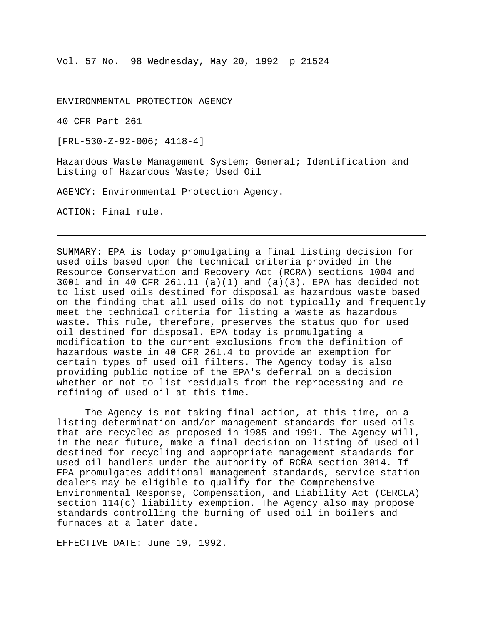ENVIRONMENTAL PROTECTION AGENCY

40 CFR Part 261

[FRL-530-Z-92-006; 4118-4]

Hazardous Waste Management System; General; Identification and Listing of Hazardous Waste; Used Oil

AGENCY: Environmental Protection Agency.

ACTION: Final rule.

SUMMARY: EPA is today promulgating a final listing decision for used oils based upon the technical criteria provided in the Resource Conservation and Recovery Act (RCRA) sections 1004 and 3001 and in 40 CFR 261.11 (a)(1) and (a)(3). EPA has decided not to list used oils destined for disposal as hazardous waste based on the finding that all used oils do not typically and frequently meet the technical criteria for listing a waste as hazardous waste. This rule, therefore, preserves the status quo for used oil destined for disposal. EPA today is promulgating a modification to the current exclusions from the definition of hazardous waste in 40 CFR 261.4 to provide an exemption for certain types of used oil filters. The Agency today is also providing public notice of the EPA's deferral on a decision whether or not to list residuals from the reprocessing and rerefining of used oil at this time.

The Agency is not taking final action, at this time, on a listing determination and/or management standards for used oils that are recycled as proposed in 1985 and 1991. The Agency will, in the near future, make a final decision on listing of used oil destined for recycling and appropriate management standards for used oil handlers under the authority of RCRA section 3014. If EPA promulgates additional management standards, service station dealers may be eligible to qualify for the Comprehensive Environmental Response, Compensation, and Liability Act (CERCLA) section 114(c) liability exemption. The Agency also may propose standards controlling the burning of used oil in boilers and furnaces at a later date.

EFFECTIVE DATE: June 19, 1992.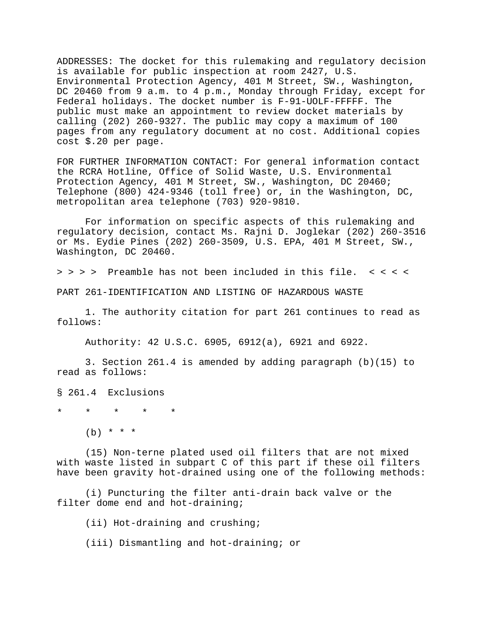ADDRESSES: The docket for this rulemaking and regulatory decision is available for public inspection at room 2427, U.S. Environmental Protection Agency, 401 M Street, SW., Washington, DC 20460 from 9 a.m. to 4 p.m., Monday through Friday, except for Federal holidays. The docket number is F-91-UOLF-FFFFF. The public must make an appointment to review docket materials by calling (202) 260-9327. The public may copy a maximum of 100 pages from any regulatory document at no cost. Additional copies cost \$.20 per page.

FOR FURTHER INFORMATION CONTACT: For general information contact the RCRA Hotline, Office of Solid Waste, U.S. Environmental Protection Agency, 401 M Street, SW., Washington, DC 20460; Telephone (800) 424-9346 (toll free) or, in the Washington, DC, metropolitan area telephone (703) 920-9810.

For information on specific aspects of this rulemaking and regulatory decision, contact Ms. Rajni D. Joglekar (202) 260-3516 or Ms. Eydie Pines (202) 260-3509, U.S. EPA, 401 M Street, SW., Washington, DC 20460.

> > > > Preamble has not been included in this file. < < < <

PART 261-IDENTIFICATION AND LISTING OF HAZARDOUS WASTE

1. The authority citation for part 261 continues to read as follows:

Authority: 42 U.S.C. 6905, 6912(a), 6921 and 6922.

3. Section 261.4 is amended by adding paragraph (b)(15) to read as follows:

§ 261.4 Exclusions

\* \* \* \* \*

 $(b)$  \* \* \*

(15) Non-terne plated used oil filters that are not mixed with waste listed in subpart C of this part if these oil filters have been gravity hot-drained using one of the following methods:

(i) Puncturing the filter anti-drain back valve or the filter dome end and hot-draining;

(ii) Hot-draining and crushing;

(iii) Dismantling and hot-draining; or